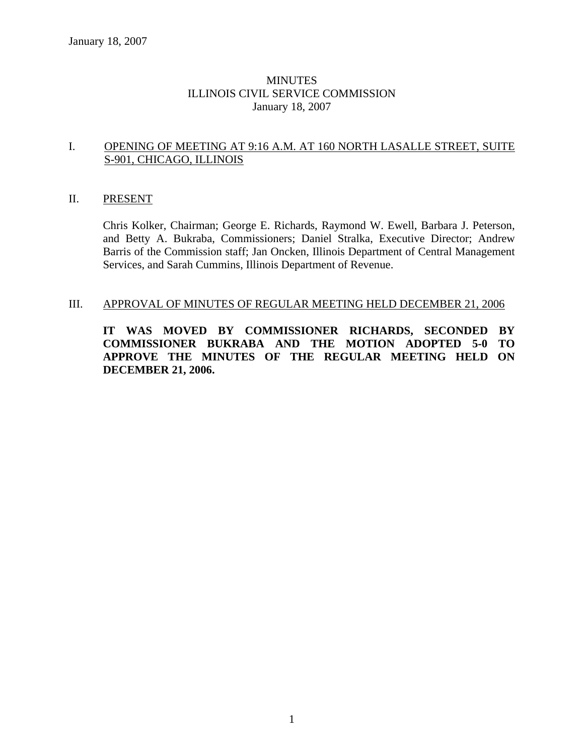### MINUTES ILLINOIS CIVIL SERVICE COMMISSION January 18, 2007

#### I. OPENING OF MEETING AT 9:16 A.M. AT 160 NORTH LASALLE STREET, SUITE S-901, CHICAGO, ILLINOIS

#### II. PRESENT

Chris Kolker, Chairman; George E. Richards, Raymond W. Ewell, Barbara J. Peterson, and Betty A. Bukraba, Commissioners; Daniel Stralka, Executive Director; Andrew Barris of the Commission staff; Jan Oncken, Illinois Department of Central Management Services, and Sarah Cummins, Illinois Department of Revenue.

#### III. APPROVAL OF MINUTES OF REGULAR MEETING HELD DECEMBER 21, 2006

**IT WAS MOVED BY COMMISSIONER RICHARDS, SECONDED BY COMMISSIONER BUKRABA AND THE MOTION ADOPTED 5-0 TO APPROVE THE MINUTES OF THE REGULAR MEETING HELD ON DECEMBER 21, 2006.**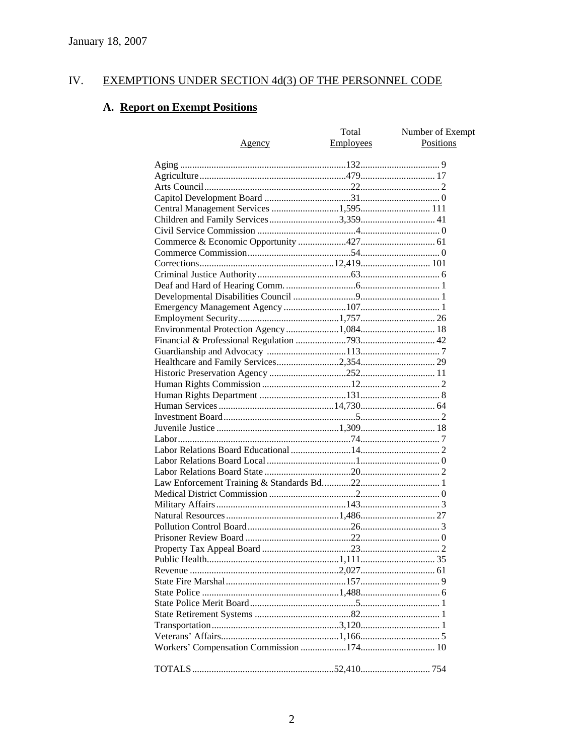#### IV. **EXEMPTIONS UNDER SECTION 4d(3) OF THE PERSONNEL CODE**

# A. Report on Exempt Positions

|                                          | Total     | Number of Exempt |
|------------------------------------------|-----------|------------------|
| <u>Agency</u>                            | Employees | Positions        |
|                                          |           |                  |
|                                          |           |                  |
|                                          |           |                  |
|                                          |           |                  |
|                                          |           |                  |
|                                          |           |                  |
|                                          |           |                  |
|                                          |           |                  |
|                                          |           |                  |
|                                          |           |                  |
|                                          |           |                  |
|                                          |           |                  |
|                                          |           |                  |
|                                          |           |                  |
|                                          |           |                  |
|                                          |           |                  |
| Environmental Protection Agency 1,084 18 |           |                  |
|                                          |           |                  |
|                                          |           |                  |
|                                          |           |                  |
|                                          |           |                  |
|                                          |           |                  |
|                                          |           |                  |
|                                          |           |                  |
|                                          |           |                  |
|                                          |           |                  |
|                                          |           |                  |
|                                          |           |                  |
|                                          |           |                  |
|                                          |           |                  |
|                                          |           |                  |
|                                          |           |                  |
|                                          |           |                  |
|                                          |           |                  |
|                                          |           |                  |
|                                          |           |                  |
|                                          |           |                  |
|                                          |           |                  |
|                                          |           |                  |
|                                          |           |                  |
|                                          |           |                  |
|                                          |           |                  |
|                                          |           |                  |
|                                          |           |                  |
|                                          |           |                  |
|                                          |           |                  |
|                                          |           |                  |
|                                          |           |                  |
|                                          |           |                  |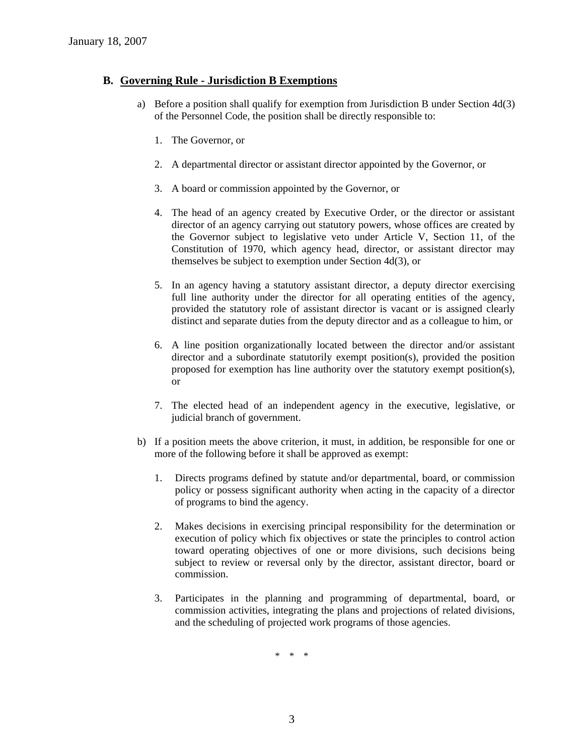### **B. Governing Rule - Jurisdiction B Exemptions**

- a) Before a position shall qualify for exemption from Jurisdiction B under Section 4d(3) of the Personnel Code, the position shall be directly responsible to:
	- 1. The Governor, or
	- 2. A departmental director or assistant director appointed by the Governor, or
	- 3. A board or commission appointed by the Governor, or
	- 4. The head of an agency created by Executive Order, or the director or assistant director of an agency carrying out statutory powers, whose offices are created by the Governor subject to legislative veto under Article V, Section 11, of the Constitution of 1970, which agency head, director, or assistant director may themselves be subject to exemption under Section 4d(3), or
	- 5. In an agency having a statutory assistant director, a deputy director exercising full line authority under the director for all operating entities of the agency, provided the statutory role of assistant director is vacant or is assigned clearly distinct and separate duties from the deputy director and as a colleague to him, or
	- 6. A line position organizationally located between the director and/or assistant director and a subordinate statutorily exempt position(s), provided the position proposed for exemption has line authority over the statutory exempt position(s), or
	- 7. The elected head of an independent agency in the executive, legislative, or judicial branch of government.
- b) If a position meets the above criterion, it must, in addition, be responsible for one or more of the following before it shall be approved as exempt:
	- 1. Directs programs defined by statute and/or departmental, board, or commission policy or possess significant authority when acting in the capacity of a director of programs to bind the agency.
	- 2. Makes decisions in exercising principal responsibility for the determination or execution of policy which fix objectives or state the principles to control action toward operating objectives of one or more divisions, such decisions being subject to review or reversal only by the director, assistant director, board or commission.
	- 3. Participates in the planning and programming of departmental, board, or commission activities, integrating the plans and projections of related divisions, and the scheduling of projected work programs of those agencies.

\* \* \*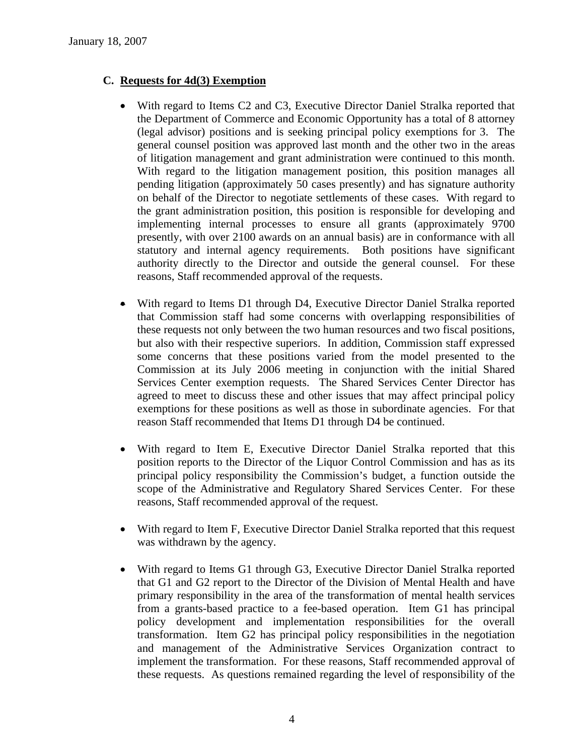### **C. Requests for 4d(3) Exemption**

- With regard to Items C2 and C3, Executive Director Daniel Stralka reported that the Department of Commerce and Economic Opportunity has a total of 8 attorney (legal advisor) positions and is seeking principal policy exemptions for 3. The general counsel position was approved last month and the other two in the areas of litigation management and grant administration were continued to this month. With regard to the litigation management position, this position manages all pending litigation (approximately 50 cases presently) and has signature authority on behalf of the Director to negotiate settlements of these cases. With regard to the grant administration position, this position is responsible for developing and implementing internal processes to ensure all grants (approximately 9700 presently, with over 2100 awards on an annual basis) are in conformance with all statutory and internal agency requirements. Both positions have significant authority directly to the Director and outside the general counsel. For these reasons, Staff recommended approval of the requests.
- With regard to Items D1 through D4, Executive Director Daniel Stralka reported that Commission staff had some concerns with overlapping responsibilities of these requests not only between the two human resources and two fiscal positions, but also with their respective superiors. In addition, Commission staff expressed some concerns that these positions varied from the model presented to the Commission at its July 2006 meeting in conjunction with the initial Shared Services Center exemption requests. The Shared Services Center Director has agreed to meet to discuss these and other issues that may affect principal policy exemptions for these positions as well as those in subordinate agencies. For that reason Staff recommended that Items D1 through D4 be continued.
- With regard to Item E, Executive Director Daniel Stralka reported that this position reports to the Director of the Liquor Control Commission and has as its principal policy responsibility the Commission's budget, a function outside the scope of the Administrative and Regulatory Shared Services Center. For these reasons, Staff recommended approval of the request.
- With regard to Item F, Executive Director Daniel Stralka reported that this request was withdrawn by the agency.
- With regard to Items G1 through G3, Executive Director Daniel Stralka reported that G1 and G2 report to the Director of the Division of Mental Health and have primary responsibility in the area of the transformation of mental health services from a grants-based practice to a fee-based operation. Item G1 has principal policy development and implementation responsibilities for the overall transformation. Item G2 has principal policy responsibilities in the negotiation and management of the Administrative Services Organization contract to implement the transformation. For these reasons, Staff recommended approval of these requests. As questions remained regarding the level of responsibility of the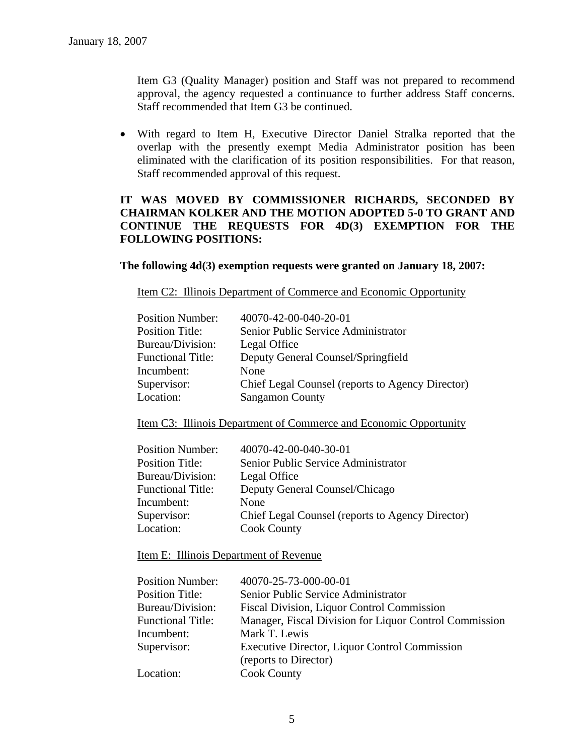Item G3 (Quality Manager) position and Staff was not prepared to recommend approval, the agency requested a continuance to further address Staff concerns. Staff recommended that Item G3 be continued.

• With regard to Item H, Executive Director Daniel Stralka reported that the overlap with the presently exempt Media Administrator position has been eliminated with the clarification of its position responsibilities. For that reason, Staff recommended approval of this request.

### **IT WAS MOVED BY COMMISSIONER RICHARDS, SECONDED BY CHAIRMAN KOLKER AND THE MOTION ADOPTED 5-0 TO GRANT AND CONTINUE THE REQUESTS FOR 4D(3) EXEMPTION FOR THE FOLLOWING POSITIONS:**

#### **The following 4d(3) exemption requests were granted on January 18, 2007:**

Item C2: Illinois Department of Commerce and Economic Opportunity

| <b>Position Number:</b>  | 40070-42-00-040-20-01                            |
|--------------------------|--------------------------------------------------|
| <b>Position Title:</b>   | Senior Public Service Administrator              |
| Bureau/Division:         | Legal Office                                     |
| <b>Functional Title:</b> | Deputy General Counsel/Springfield               |
| Incumbent:               | None                                             |
| Supervisor:              | Chief Legal Counsel (reports to Agency Director) |
| Location:                | <b>Sangamon County</b>                           |

Item C3: Illinois Department of Commerce and Economic Opportunity

| 40070-42-00-040-30-01                            |
|--------------------------------------------------|
| Senior Public Service Administrator              |
| Legal Office                                     |
| Deputy General Counsel/Chicago                   |
| None                                             |
| Chief Legal Counsel (reports to Agency Director) |
| <b>Cook County</b>                               |
|                                                  |

#### Item E: Illinois Department of Revenue

| <b>Position Number:</b>  | 40070-25-73-000-00-01                                  |
|--------------------------|--------------------------------------------------------|
| <b>Position Title:</b>   | Senior Public Service Administrator                    |
| Bureau/Division:         | Fiscal Division, Liquor Control Commission             |
| <b>Functional Title:</b> | Manager, Fiscal Division for Liquor Control Commission |
| Incumbent:               | Mark T. Lewis                                          |
| Supervisor:              | Executive Director, Liquor Control Commission          |
|                          | (reports to Director)                                  |
| Location:                | <b>Cook County</b>                                     |
|                          |                                                        |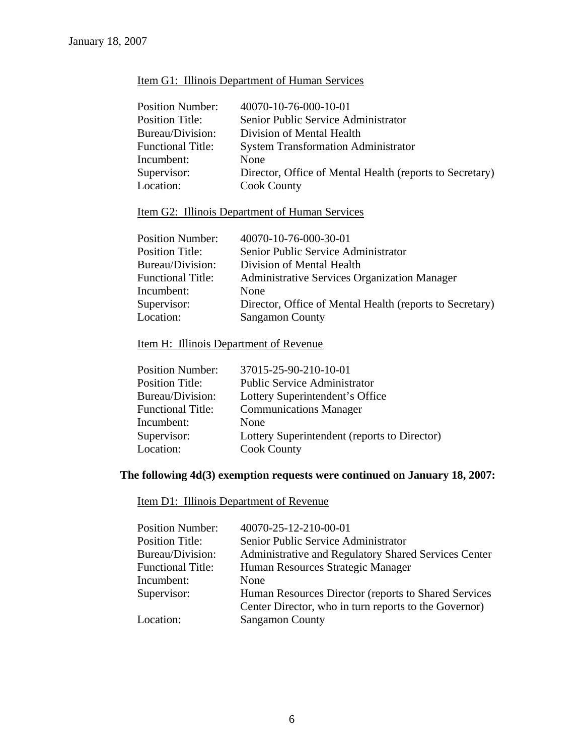### Item G1: Illinois Department of Human Services

| <b>Position Number:</b>  | 40070-10-76-000-10-01                                    |
|--------------------------|----------------------------------------------------------|
| <b>Position Title:</b>   | Senior Public Service Administrator                      |
| Bureau/Division:         | Division of Mental Health                                |
| <b>Functional Title:</b> | <b>System Transformation Administrator</b>               |
| Incumbent:               | None                                                     |
| Supervisor:              | Director, Office of Mental Health (reports to Secretary) |
| Location:                | <b>Cook County</b>                                       |

### Item G2: Illinois Department of Human Services

| 40070-10-76-000-30-01                                    |
|----------------------------------------------------------|
| Senior Public Service Administrator                      |
| Division of Mental Health                                |
| <b>Administrative Services Organization Manager</b>      |
| None                                                     |
| Director, Office of Mental Health (reports to Secretary) |
| <b>Sangamon County</b>                                   |
|                                                          |

### Item H: Illinois Department of Revenue

| Lottery Superintendent (reports to Director) |
|----------------------------------------------|
|                                              |
|                                              |

### **The following 4d(3) exemption requests were continued on January 18, 2007:**

Item D1: Illinois Department of Revenue

| <b>Position Number:</b>  | 40070-25-12-210-00-01                                 |
|--------------------------|-------------------------------------------------------|
| <b>Position Title:</b>   | Senior Public Service Administrator                   |
| Bureau/Division:         | Administrative and Regulatory Shared Services Center  |
| <b>Functional Title:</b> | Human Resources Strategic Manager                     |
| Incumbent:               | None                                                  |
| Supervisor:              | Human Resources Director (reports to Shared Services  |
|                          | Center Director, who in turn reports to the Governor) |
| Location:                | <b>Sangamon County</b>                                |
|                          |                                                       |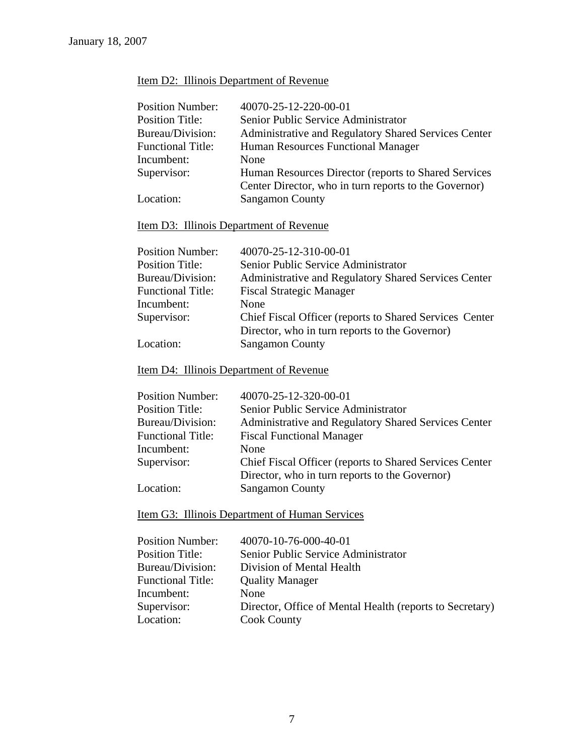## Item D2: Illinois Department of Revenue

| <b>Position Number:</b>  | 40070-25-12-220-00-01                                 |
|--------------------------|-------------------------------------------------------|
| <b>Position Title:</b>   | Senior Public Service Administrator                   |
| Bureau/Division:         | Administrative and Regulatory Shared Services Center  |
| <b>Functional Title:</b> | Human Resources Functional Manager                    |
| Incumbent:               | None                                                  |
| Supervisor:              | Human Resources Director (reports to Shared Services  |
|                          | Center Director, who in turn reports to the Governor) |
| Location:                | <b>Sangamon County</b>                                |
|                          |                                                       |

### Item D3: Illinois Department of Revenue

| <b>Position Number:</b>  | 40070-25-12-310-00-01                                    |
|--------------------------|----------------------------------------------------------|
| <b>Position Title:</b>   | Senior Public Service Administrator                      |
| Bureau/Division:         | Administrative and Regulatory Shared Services Center     |
| <b>Functional Title:</b> | <b>Fiscal Strategic Manager</b>                          |
| Incumbent:               | None                                                     |
| Supervisor:              | Chief Fiscal Officer (reports to Shared Services Center) |
|                          | Director, who in turn reports to the Governor)           |
| Location:                | <b>Sangamon County</b>                                   |
|                          |                                                          |

## Item D4: Illinois Department of Revenue

| <b>Position Number:</b>  | 40070-25-12-320-00-01                                    |
|--------------------------|----------------------------------------------------------|
| <b>Position Title:</b>   | Senior Public Service Administrator                      |
| Bureau/Division:         | Administrative and Regulatory Shared Services Center     |
| <b>Functional Title:</b> | <b>Fiscal Functional Manager</b>                         |
| Incumbent:               | None                                                     |
| Supervisor:              | Chief Fiscal Officer (reports to Shared Services Center) |
|                          | Director, who in turn reports to the Governor)           |
| Location:                | <b>Sangamon County</b>                                   |

Item G3: Illinois Department of Human Services

| 40070-10-76-000-40-01                                    |
|----------------------------------------------------------|
| Senior Public Service Administrator                      |
| Division of Mental Health                                |
| <b>Quality Manager</b>                                   |
| None                                                     |
| Director, Office of Mental Health (reports to Secretary) |
| <b>Cook County</b>                                       |
|                                                          |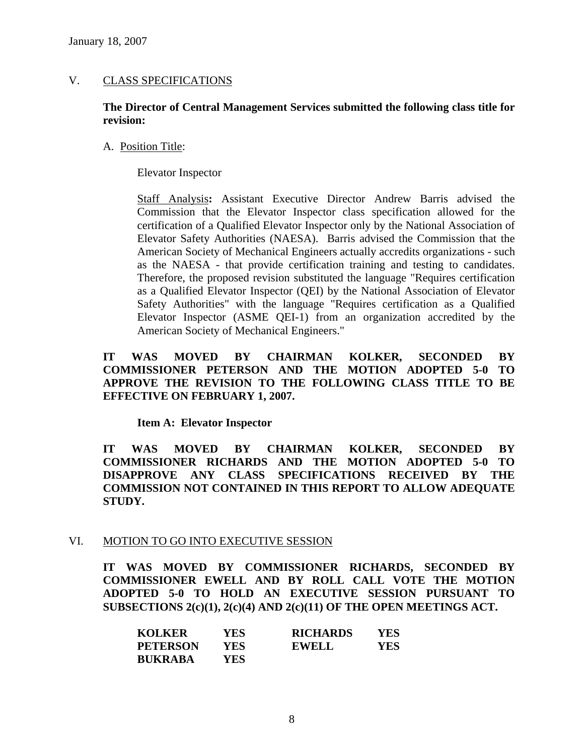### V. CLASS SPECIFICATIONS

#### **The Director of Central Management Services submitted the following class title for revision:**

#### A. Position Title:

Elevator Inspector

Staff Analysis**:** Assistant Executive Director Andrew Barris advised the Commission that the Elevator Inspector class specification allowed for the certification of a Qualified Elevator Inspector only by the National Association of Elevator Safety Authorities (NAESA). Barris advised the Commission that the American Society of Mechanical Engineers actually accredits organizations - such as the NAESA - that provide certification training and testing to candidates. Therefore, the proposed revision substituted the language "Requires certification as a Qualified Elevator Inspector (QEI) by the National Association of Elevator Safety Authorities" with the language "Requires certification as a Qualified Elevator Inspector (ASME QEI-1) from an organization accredited by the American Society of Mechanical Engineers."

### **IT WAS MOVED BY CHAIRMAN KOLKER, SECONDED BY COMMISSIONER PETERSON AND THE MOTION ADOPTED 5-0 TO APPROVE THE REVISION TO THE FOLLOWING CLASS TITLE TO BE EFFECTIVE ON FEBRUARY 1, 2007.**

**Item A: Elevator Inspector** 

**IT WAS MOVED BY CHAIRMAN KOLKER, SECONDED BY COMMISSIONER RICHARDS AND THE MOTION ADOPTED 5-0 TO DISAPPROVE ANY CLASS SPECIFICATIONS RECEIVED BY THE COMMISSION NOT CONTAINED IN THIS REPORT TO ALLOW ADEQUATE STUDY.** 

#### VI. MOTION TO GO INTO EXECUTIVE SESSION

**IT WAS MOVED BY COMMISSIONER RICHARDS, SECONDED BY COMMISSIONER EWELL AND BY ROLL CALL VOTE THE MOTION ADOPTED 5-0 TO HOLD AN EXECUTIVE SESSION PURSUANT TO SUBSECTIONS 2(c)(1), 2(c)(4) AND 2(c)(11) OF THE OPEN MEETINGS ACT.** 

| <b>KOLKER</b>   | <b>YES</b> | <b>RICHARDS</b> | YES |
|-----------------|------------|-----------------|-----|
| <b>PETERSON</b> | YES        | <b>EWELL</b>    | YES |
| <b>BUKRABA</b>  | YES        |                 |     |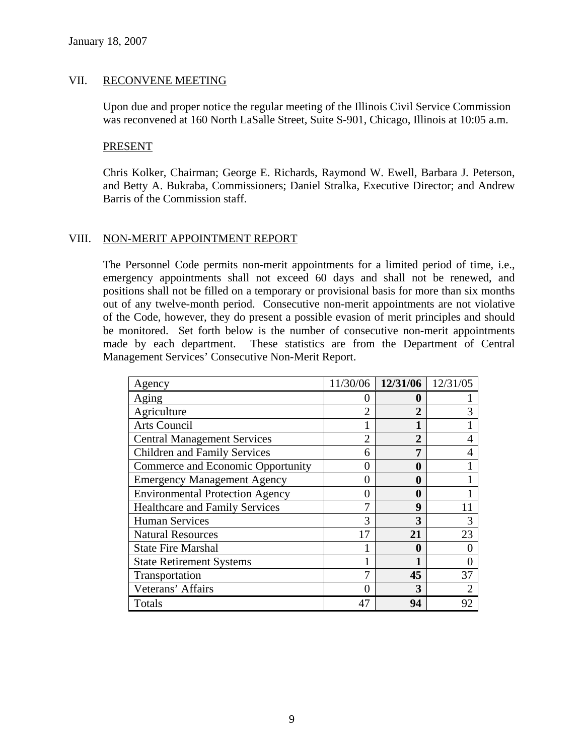#### VII. RECONVENE MEETING

Upon due and proper notice the regular meeting of the Illinois Civil Service Commission was reconvened at 160 North LaSalle Street, Suite S-901, Chicago, Illinois at 10:05 a.m.

#### PRESENT

Chris Kolker, Chairman; George E. Richards, Raymond W. Ewell, Barbara J. Peterson, and Betty A. Bukraba, Commissioners; Daniel Stralka, Executive Director; and Andrew Barris of the Commission staff.

### VIII. NON-MERIT APPOINTMENT REPORT

The Personnel Code permits non-merit appointments for a limited period of time, i.e., emergency appointments shall not exceed 60 days and shall not be renewed, and positions shall not be filled on a temporary or provisional basis for more than six months out of any twelve-month period. Consecutive non-merit appointments are not violative of the Code, however, they do present a possible evasion of merit principles and should be monitored. Set forth below is the number of consecutive non-merit appointments made by each department. These statistics are from the Department of Central Management Services' Consecutive Non-Merit Report.

| Agency                                 | 11/30/06         | 12/31/06         | 12/31/05       |
|----------------------------------------|------------------|------------------|----------------|
| Aging                                  |                  | 0                |                |
| Agriculture                            |                  | $\overline{2}$   | 3              |
| Arts Council                           |                  |                  |                |
| <b>Central Management Services</b>     | $\mathfrak{D}$   | $\overline{2}$   | 4              |
| <b>Children and Family Services</b>    | 6                | 7                |                |
| Commerce and Economic Opportunity      |                  | $\boldsymbol{0}$ |                |
| <b>Emergency Management Agency</b>     | $\left( \right)$ | 0                |                |
| <b>Environmental Protection Agency</b> | $\theta$         | 0                |                |
| <b>Healthcare and Family Services</b>  |                  | 9                |                |
| <b>Human Services</b>                  | 3                | 3                | 3              |
| <b>Natural Resources</b>               | 17               | 21               | 23             |
| <b>State Fire Marshal</b>              |                  | 0                |                |
| <b>State Retirement Systems</b>        |                  |                  |                |
| Transportation                         |                  | 45               | 37             |
| Veterans' Affairs                      |                  | 3                | $\overline{2}$ |
| Totals                                 | 47               | 94               | 92             |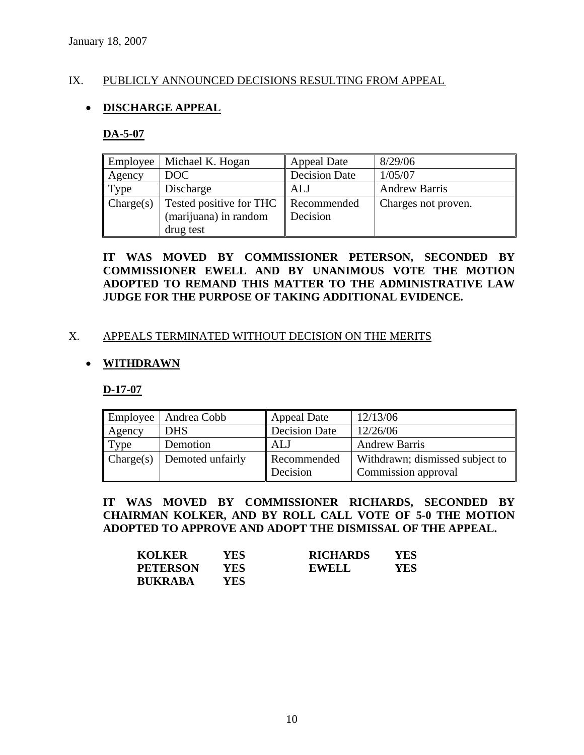### IX. PUBLICLY ANNOUNCED DECISIONS RESULTING FROM APPEAL

### • **DISCHARGE APPEAL**

#### **DA-5-07**

| <b>Employee</b> | Michael K. Hogan        | <b>Appeal Date</b>   | 8/29/06              |
|-----------------|-------------------------|----------------------|----------------------|
| Agency          | DOC                     | <b>Decision Date</b> | 1/05/07              |
| Type            | Discharge               | <b>ALJ</b>           | <b>Andrew Barris</b> |
| Change(s)       | Tested positive for THC | Recommended          | Charges not proven.  |
|                 | (marijuana) in random   | Decision             |                      |
|                 | drug test               |                      |                      |

### **IT WAS MOVED BY COMMISSIONER PETERSON, SECONDED BY COMMISSIONER EWELL AND BY UNANIMOUS VOTE THE MOTION ADOPTED TO REMAND THIS MATTER TO THE ADMINISTRATIVE LAW JUDGE FOR THE PURPOSE OF TAKING ADDITIONAL EVIDENCE.**

### X. APPEALS TERMINATED WITHOUT DECISION ON THE MERITS

### • **WITHDRAWN**

**D-17-07**

|        | Employee   Andrea Cobb                   | <b>Appeal Date</b>      | 12/13/06                                               |
|--------|------------------------------------------|-------------------------|--------------------------------------------------------|
| Agency | <b>DHS</b>                               | <b>Decision Date</b>    | 12/26/06                                               |
| Type   | Demotion                                 | ALJ                     | <b>Andrew Barris</b>                                   |
|        | $\Box$ Charge(s) $\Box$ Demoted unfairly | Recommended<br>Decision | Withdrawn; dismissed subject to<br>Commission approval |

### **IT WAS MOVED BY COMMISSIONER RICHARDS, SECONDED BY CHAIRMAN KOLKER, AND BY ROLL CALL VOTE OF 5-0 THE MOTION ADOPTED TO APPROVE AND ADOPT THE DISMISSAL OF THE APPEAL.**

| <b>KOLKER</b>   | YES  | <b>RICHARDS</b> | YES |
|-----------------|------|-----------------|-----|
| <b>PETERSON</b> | YES. | <b>EWELL</b>    | YES |
| <b>BUKRABA</b>  | YES. |                 |     |